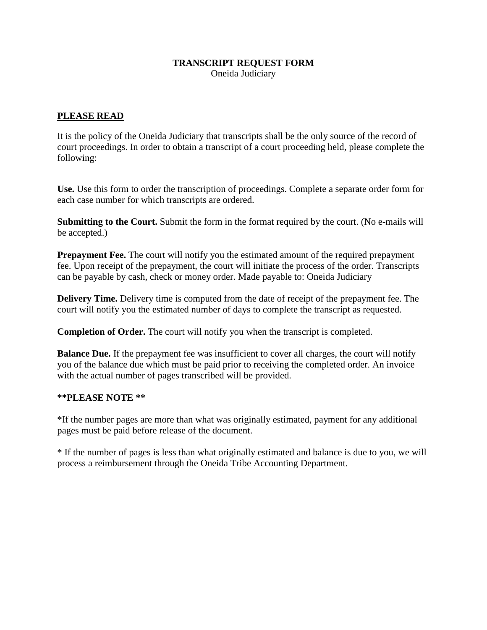## **TRANSCRIPT REQUEST FORM**

Oneida Judiciary

#### **PLEASE READ**

It is the policy of the Oneida Judiciary that transcripts shall be the only source of the record of court proceedings. In order to obtain a transcript of a court proceeding held, please complete the following:

**Use.** Use this form to order the transcription of proceedings. Complete a separate order form for each case number for which transcripts are ordered.

**Submitting to the Court.** Submit the form in the format required by the court. (No e-mails will be accepted.)

**Prepayment Fee.** The court will notify you the estimated amount of the required prepayment fee. Upon receipt of the prepayment, the court will initiate the process of the order. Transcripts can be payable by cash, check or money order. Made payable to: Oneida Judiciary

**Delivery Time.** Delivery time is computed from the date of receipt of the prepayment fee. The court will notify you the estimated number of days to complete the transcript as requested.

**Completion of Order.** The court will notify you when the transcript is completed.

**Balance Due.** If the prepayment fee was insufficient to cover all charges, the court will notify you of the balance due which must be paid prior to receiving the completed order. An invoice with the actual number of pages transcribed will be provided.

#### **\*\*PLEASE NOTE \*\***

\*If the number pages are more than what was originally estimated, payment for any additional pages must be paid before release of the document.

\* If the number of pages is less than what originally estimated and balance is due to you, we will process a reimbursement through the Oneida Tribe Accounting Department.